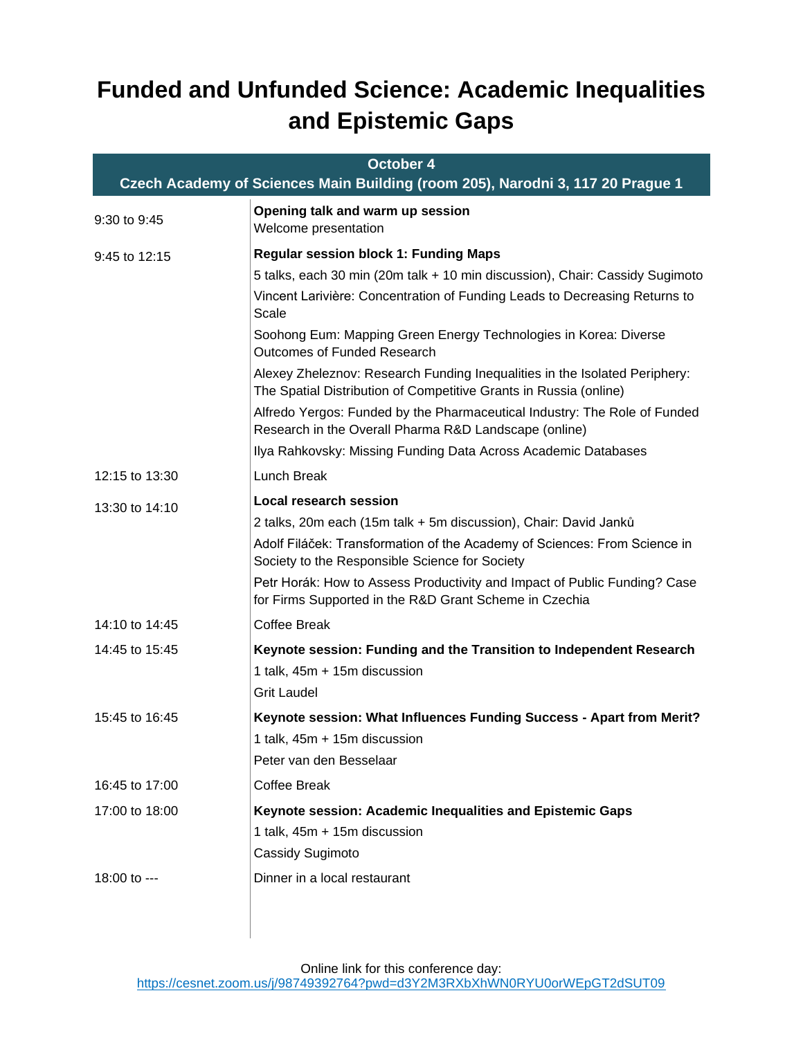## **Funded and Unfunded Science: Academic Inequalities and Epistemic Gaps**

| October 4<br>Czech Academy of Sciences Main Building (room 205), Narodni 3, 117 20 Prague 1 |                                                                                                                                                 |  |
|---------------------------------------------------------------------------------------------|-------------------------------------------------------------------------------------------------------------------------------------------------|--|
| 9:30 to 9:45                                                                                | Opening talk and warm up session<br>Welcome presentation                                                                                        |  |
| 9:45 to 12:15                                                                               | <b>Regular session block 1: Funding Maps</b>                                                                                                    |  |
|                                                                                             | 5 talks, each 30 min (20m talk + 10 min discussion), Chair: Cassidy Sugimoto                                                                    |  |
|                                                                                             | Vincent Larivière: Concentration of Funding Leads to Decreasing Returns to<br>Scale                                                             |  |
|                                                                                             | Soohong Eum: Mapping Green Energy Technologies in Korea: Diverse<br><b>Outcomes of Funded Research</b>                                          |  |
|                                                                                             | Alexey Zheleznov: Research Funding Inequalities in the Isolated Periphery:<br>The Spatial Distribution of Competitive Grants in Russia (online) |  |
|                                                                                             | Alfredo Yergos: Funded by the Pharmaceutical Industry: The Role of Funded<br>Research in the Overall Pharma R&D Landscape (online)              |  |
|                                                                                             | Ilya Rahkovsky: Missing Funding Data Across Academic Databases                                                                                  |  |
| 12:15 to 13:30                                                                              | Lunch Break                                                                                                                                     |  |
| 13:30 to 14:10                                                                              | <b>Local research session</b>                                                                                                                   |  |
|                                                                                             | 2 talks, 20m each (15m talk + 5m discussion), Chair: David Janků                                                                                |  |
|                                                                                             | Adolf Filáček: Transformation of the Academy of Sciences: From Science in<br>Society to the Responsible Science for Society                     |  |
|                                                                                             | Petr Horák: How to Assess Productivity and Impact of Public Funding? Case<br>for Firms Supported in the R&D Grant Scheme in Czechia             |  |
| 14:10 to 14:45                                                                              | <b>Coffee Break</b>                                                                                                                             |  |
| 14:45 to 15:45                                                                              | Keynote session: Funding and the Transition to Independent Research                                                                             |  |
|                                                                                             | 1 talk, 45m + 15m discussion                                                                                                                    |  |
|                                                                                             | <b>Grit Laudel</b>                                                                                                                              |  |
| 15:45 to 16:45                                                                              | Keynote session: What Influences Funding Success - Apart from Merit?                                                                            |  |
|                                                                                             | 1 talk, 45m + 15m discussion                                                                                                                    |  |
|                                                                                             | Peter van den Besselaar                                                                                                                         |  |
| 16:45 to 17:00                                                                              | <b>Coffee Break</b>                                                                                                                             |  |
| 17:00 to 18:00                                                                              | Keynote session: Academic Inequalities and Epistemic Gaps                                                                                       |  |
|                                                                                             | 1 talk, 45m + 15m discussion                                                                                                                    |  |
|                                                                                             | Cassidy Sugimoto                                                                                                                                |  |
| 18:00 to ---                                                                                | Dinner in a local restaurant                                                                                                                    |  |